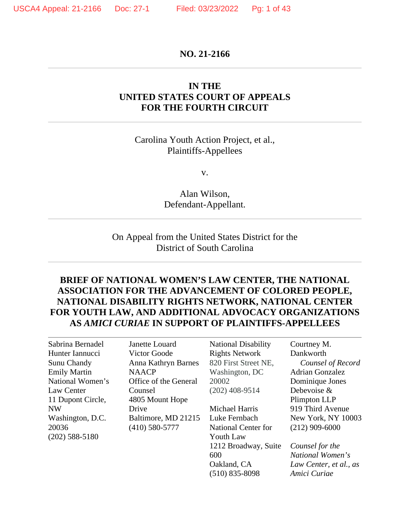#### **NO. 21-2166**

## **IN THE UNITED STATES COURT OF APPEALS FOR THE FOURTH CIRCUIT**

### Carolina Youth Action Project, et al., Plaintiffs-Appellees

v.

Alan Wilson, Defendant-Appellant.

On Appeal from the United States District for the District of South Carolina

## **BRIEF OF NATIONAL WOMEN'S LAW CENTER, THE NATIONAL ASSOCIATION FOR THE ADVANCEMENT OF COLORED PEOPLE, NATIONAL DISABILITY RIGHTS NETWORK, NATIONAL CENTER FOR YOUTH LAW, AND ADDITIONAL ADVOCACY ORGANIZATIONS AS** *AMICI CURIAE* **IN SUPPORT OF PLAINTIFFS-APPELLEES**

Sabrina Bernadel Hunter Iannucci Sunu Chandy Emily Martin National Women's Law Center 11 Dupont Circle, NW Washington, D.C. 20036 (202) 588-5180

Janette Louard Victor Goode Anna Kathryn Barnes **NAACP** Office of the General Counsel 4805 Mount Hope Drive Baltimore, MD 21215 (410) 580-5777

National Disability Rights Network 820 First Street NE, Washington, DC 20002 (202) 408-9514

Michael Harris Luke Fernbach National Center for Youth Law 1212 Broadway, Suite 600 Oakland, CA (510) 835-8098

Courtney M. Dankworth *Counsel of Record* Adrian Gonzalez Dominique Jones Debevoise & Plimpton LLP 919 Third Avenue New York, NY 10003 (212) 909-6000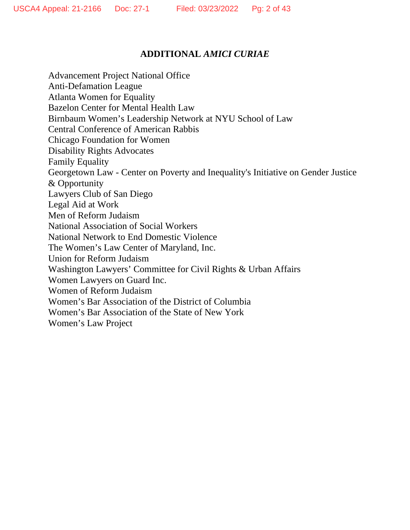# **ADDITIONAL** *AMICI CURIAE*

Advancement Project National Office Anti-Defamation League Atlanta Women for Equality Bazelon Center for Mental Health Law Birnbaum Women's Leadership Network at NYU School of Law Central Conference of American Rabbis Chicago Foundation for Women Disability Rights Advocates Family Equality Georgetown Law - Center on Poverty and Inequality's Initiative on Gender Justice & Opportunity Lawyers Club of San Diego Legal Aid at Work Men of Reform Judaism National Association of Social Workers National Network to End Domestic Violence The Women's Law Center of Maryland, Inc. Union for Reform Judaism Washington Lawyers' Committee for Civil Rights & Urban Affairs Women Lawyers on Guard Inc. Women of Reform Judaism Women's Bar Association of the District of Columbia Women's Bar Association of the State of New York Women's Law Project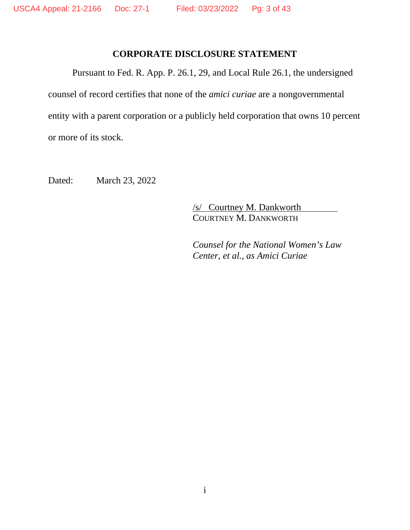## **CORPORATE DISCLOSURE STATEMENT**

Pursuant to Fed. R. App. P. 26.1, 29, and Local Rule 26.1, the undersigned counsel of record certifies that none of the *amici curiae* are a nongovernmental entity with a parent corporation or a publicly held corporation that owns 10 percent or more of its stock.

Dated: March 23, 2022

/s/ Courtney M. Dankworth COURTNEY M. DANKWORTH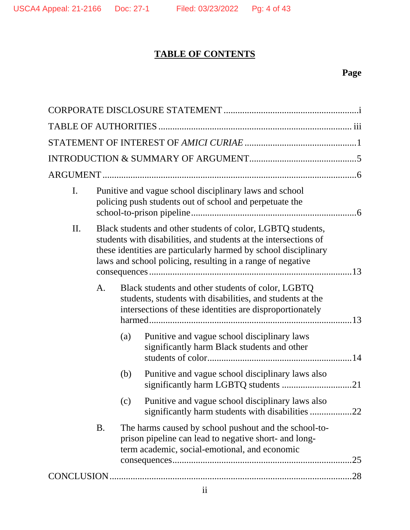# **TABLE OF CONTENTS**

# **Page**

| $\mathbf{I}$ . |     | Punitive and vague school disciplinary laws and school<br>policing push students out of school and perpetuate the                                                                                                                                                |  |
|----------------|-----|------------------------------------------------------------------------------------------------------------------------------------------------------------------------------------------------------------------------------------------------------------------|--|
| II.            |     | Black students and other students of color, LGBTQ students,<br>students with disabilities, and students at the intersections of<br>these identities are particularly harmed by school disciplinary<br>laws and school policing, resulting in a range of negative |  |
| A.             |     | Black students and other students of color, LGBTQ<br>students, students with disabilities, and students at the<br>intersections of these identities are disproportionately                                                                                       |  |
|                | (a) | Punitive and vague school disciplinary laws<br>significantly harm Black students and other                                                                                                                                                                       |  |
|                | (b) | Punitive and vague school disciplinary laws also<br>significantly harm LGBTQ students 21                                                                                                                                                                         |  |
|                | (c) | Punitive and vague school disciplinary laws also<br>significantly harm students with disabilities 22                                                                                                                                                             |  |
| <b>B.</b>      |     | The harms caused by school pushout and the school-to-<br>prison pipeline can lead to negative short- and long-<br>term academic, social-emotional, and economic                                                                                                  |  |
|                |     |                                                                                                                                                                                                                                                                  |  |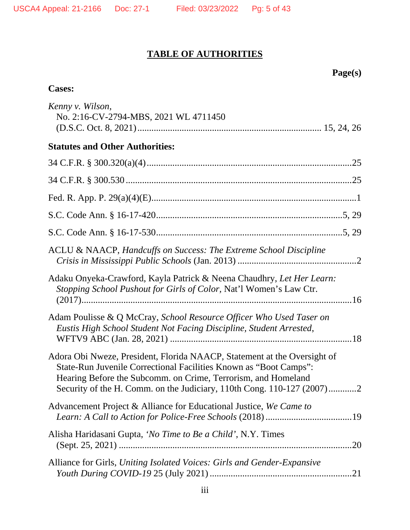# **TABLE OF AUTHORITIES**

| மு<br>s.<br>ш |
|---------------|
|---------------|

| <b>Cases:</b>                                                                                                                                                                                                                                                                            |
|------------------------------------------------------------------------------------------------------------------------------------------------------------------------------------------------------------------------------------------------------------------------------------------|
| Kenny v. Wilson,<br>No. 2:16-CV-2794-MBS, 2021 WL 4711450                                                                                                                                                                                                                                |
| <b>Statutes and Other Authorities:</b>                                                                                                                                                                                                                                                   |
|                                                                                                                                                                                                                                                                                          |
|                                                                                                                                                                                                                                                                                          |
|                                                                                                                                                                                                                                                                                          |
|                                                                                                                                                                                                                                                                                          |
|                                                                                                                                                                                                                                                                                          |
| ACLU & NAACP, Handcuffs on Success: The Extreme School Discipline                                                                                                                                                                                                                        |
| Adaku Onyeka-Crawford, Kayla Patrick & Neena Chaudhry, Let Her Learn:<br>Stopping School Pushout for Girls of Color, Nat'l Women's Law Ctr.                                                                                                                                              |
| Adam Poulisse & Q McCray, School Resource Officer Who Used Taser on<br>Eustis High School Student Not Facing Discipline, Student Arrested,                                                                                                                                               |
| Adora Obi Nweze, President, Florida NAACP, Statement at the Oversight of<br>State-Run Juvenile Correctional Facilities Known as "Boot Camps":<br>Hearing Before the Subcomm. on Crime, Terrorism, and Homeland<br>Security of the H. Comm. on the Judiciary, 110th Cong. 110-127 (2007)2 |
| Advancement Project & Alliance for Educational Justice, We Came to                                                                                                                                                                                                                       |
| Alisha Haridasani Gupta, 'No Time to Be a Child', N.Y. Times                                                                                                                                                                                                                             |
| Alliance for Girls, Uniting Isolated Voices: Girls and Gender-Expansive                                                                                                                                                                                                                  |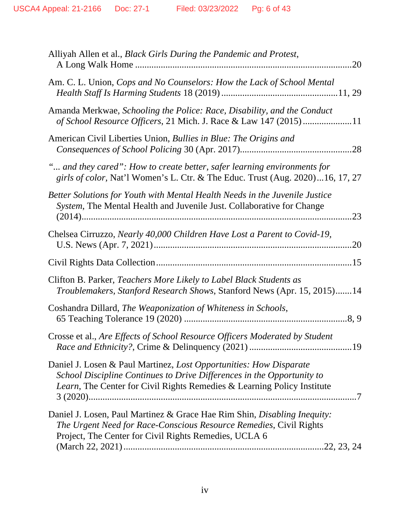| Alliyah Allen et al., Black Girls During the Pandemic and Protest,<br>.20                                                                                                                                               |
|-------------------------------------------------------------------------------------------------------------------------------------------------------------------------------------------------------------------------|
| Am. C. L. Union, Cops and No Counselors: How the Lack of School Mental                                                                                                                                                  |
| Amanda Merkwae, Schooling the Police: Race, Disability, and the Conduct<br>of School Resource Officers, 21 Mich. J. Race & Law 147 (2015)11                                                                             |
| American Civil Liberties Union, Bullies in Blue: The Origins and                                                                                                                                                        |
| " and they cared": How to create better, safer learning environments for<br>girls of color, Nat'l Women's L. Ctr. & The Educ. Trust (Aug. 2020)16, 17, 27                                                               |
| Better Solutions for Youth with Mental Health Needs in the Juvenile Justice<br>System, The Mental Health and Juvenile Just. Collaborative for Change<br>.23                                                             |
| Chelsea Cirruzzo, Nearly 40,000 Children Have Lost a Parent to Covid-19,<br>.20                                                                                                                                         |
|                                                                                                                                                                                                                         |
| Clifton B. Parker, Teachers More Likely to Label Black Students as<br>Troublemakers, Stanford Research Shows, Stanford News (Apr. 15, 2015)14                                                                           |
| Coshandra Dillard, The Weaponization of Whiteness in Schools,                                                                                                                                                           |
| Crosse et al., Are Effects of School Resource Officers Moderated by Student                                                                                                                                             |
| Daniel J. Losen & Paul Martinez, Lost Opportunities: How Disparate<br>School Discipline Continues to Drive Differences in the Opportunity to<br>Learn, The Center for Civil Rights Remedies & Learning Policy Institute |
| Daniel J. Losen, Paul Martinez & Grace Hae Rim Shin, Disabling Inequity:<br>The Urgent Need for Race-Conscious Resource Remedies, Civil Rights<br>Project, The Center for Civil Rights Remedies, UCLA 6                 |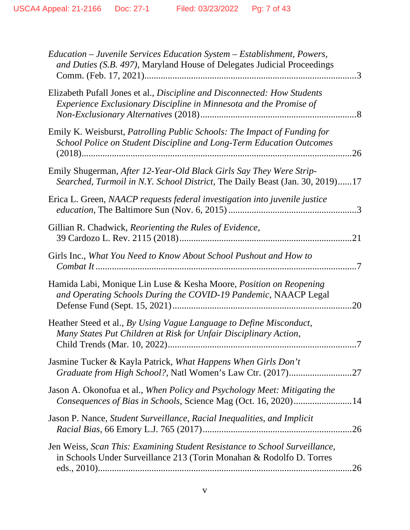| Education - Juvenile Services Education System - Establishment, Powers,<br>and Duties (S.B. 497), Maryland House of Delegates Judicial Proceedings  |     |
|-----------------------------------------------------------------------------------------------------------------------------------------------------|-----|
| Elizabeth Pufall Jones et al., Discipline and Disconnected: How Students<br>Experience Exclusionary Discipline in Minnesota and the Promise of      |     |
| Emily K. Weisburst, Patrolling Public Schools: The Impact of Funding for<br>School Police on Student Discipline and Long-Term Education Outcomes    | 26  |
| Emily Shugerman, After 12-Year-Old Black Girls Say They Were Strip-<br>Searched, Turmoil in N.Y. School District, The Daily Beast (Jan. 30, 2019)17 |     |
| Erica L. Green, NAACP requests federal investigation into juvenile justice                                                                          |     |
| Gillian R. Chadwick, Reorienting the Rules of Evidence,                                                                                             |     |
| Girls Inc., What You Need to Know About School Pushout and How to                                                                                   |     |
| Hamida Labi, Monique Lin Luse & Kesha Moore, <i>Position on Reopening</i><br>and Operating Schools During the COVID-19 Pandemic, NAACP Legal        |     |
| Heather Steed et al., By Using Vague Language to Define Misconduct,<br>Many States Put Children at Risk for Unfair Disciplinary Action,             |     |
| Jasmine Tucker & Kayla Patrick, What Happens When Girls Don't                                                                                       |     |
| Jason A. Okonofua et al., When Policy and Psychology Meet: Mitigating the<br>Consequences of Bias in Schools, Science Mag (Oct. 16, 2020)14         |     |
| Jason P. Nance, Student Surveillance, Racial Inequalities, and Implicit                                                                             |     |
| Jen Weiss, Scan This: Examining Student Resistance to School Surveillance,<br>in Schools Under Surveillance 213 (Torin Monahan & Rodolfo D. Torres  | .26 |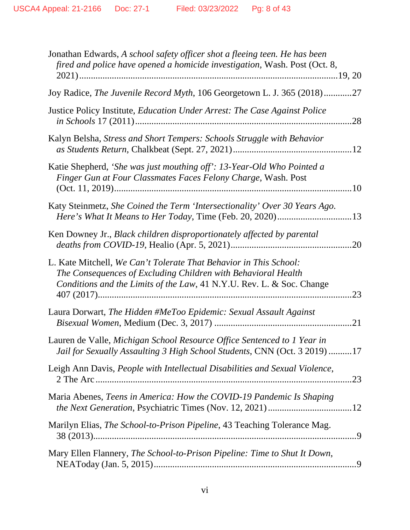| Jonathan Edwards, A school safety officer shot a fleeing teen. He has been<br>fired and police have opened a homicide investigation, Wash. Post (Oct. 8,                                                           |
|--------------------------------------------------------------------------------------------------------------------------------------------------------------------------------------------------------------------|
| Joy Radice, The Juvenile Record Myth, 106 Georgetown L. J. 365 (2018)27                                                                                                                                            |
| Justice Policy Institute, Education Under Arrest: The Case Against Police                                                                                                                                          |
| Kalyn Belsha, Stress and Short Tempers: Schools Struggle with Behavior                                                                                                                                             |
| Katie Shepherd, 'She was just mouthing off': 13-Year-Old Who Pointed a<br>Finger Gun at Four Classmates Faces Felony Charge, Wash. Post                                                                            |
| Katy Steinmetz, She Coined the Term 'Intersectionality' Over 30 Years Ago.                                                                                                                                         |
| Ken Downey Jr., Black children disproportionately affected by parental                                                                                                                                             |
| L. Kate Mitchell, We Can't Tolerate That Behavior in This School:<br>The Consequences of Excluding Children with Behavioral Health<br>Conditions and the Limits of the Law, 41 N.Y.U. Rev. L. & Soc. Change<br>.23 |
| Laura Dorwart, The Hidden #MeToo Epidemic: Sexual Assault Against                                                                                                                                                  |
| Lauren de Valle, Michigan School Resource Office Sentenced to 1 Year in<br>Jail for Sexually Assaulting 3 High School Students, CNN (Oct. 3 2019) 17                                                               |
| Leigh Ann Davis, People with Intellectual Disabilities and Sexual Violence,                                                                                                                                        |
| Maria Abenes, Teens in America: How the COVID-19 Pandemic Is Shaping<br>the Next Generation, Psychiatric Times (Nov. 12, 2021) 12                                                                                  |
| Marilyn Elias, The School-to-Prison Pipeline, 43 Teaching Tolerance Mag.                                                                                                                                           |
| Mary Ellen Flannery, The School-to-Prison Pipeline: Time to Shut It Down,                                                                                                                                          |
|                                                                                                                                                                                                                    |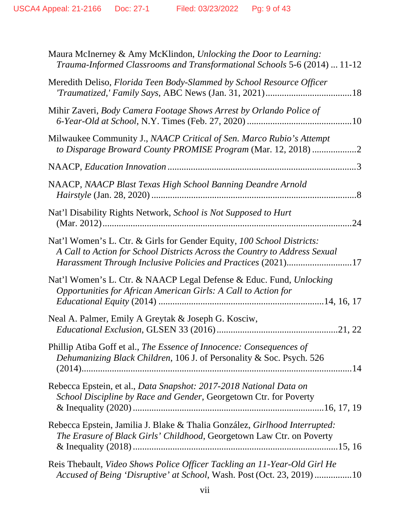| Maura McInerney & Amy McKlindon, Unlocking the Door to Learning:<br>Trauma-Informed Classrooms and Transformational Schools 5-6 (2014)  11-12                                                                        |
|----------------------------------------------------------------------------------------------------------------------------------------------------------------------------------------------------------------------|
| Meredith Deliso, Florida Teen Body-Slammed by School Resource Officer                                                                                                                                                |
| Mihir Zaveri, Body Camera Footage Shows Arrest by Orlando Police of                                                                                                                                                  |
| Milwaukee Community J., NAACP Critical of Sen. Marco Rubio's Attempt<br>to Disparage Broward County PROMISE Program (Mar. 12, 2018) 2                                                                                |
|                                                                                                                                                                                                                      |
| NAACP, NAACP Blast Texas High School Banning Deandre Arnold                                                                                                                                                          |
| Nat'l Disability Rights Network, School is Not Supposed to Hurt                                                                                                                                                      |
| Nat'l Women's L. Ctr. & Girls for Gender Equity, 100 School Districts:<br>A Call to Action for School Districts Across the Country to Address Sexual<br>Harassment Through Inclusive Policies and Practices (2021)17 |
| Nat'l Women's L. Ctr. & NAACP Legal Defense & Educ. Fund, Unlocking<br>Opportunities for African American Girls: A Call to Action for                                                                                |
| Neal A. Palmer, Emily A Greytak & Joseph G. Kosciw,                                                                                                                                                                  |
| Phillip Atiba Goff et al., The Essence of Innocence: Consequences of<br>Dehumanizing Black Children, 106 J. of Personality & Soc. Psych. 526                                                                         |
| Rebecca Epstein, et al., Data Snapshot: 2017-2018 National Data on<br>School Discipline by Race and Gender, Georgetown Ctr. for Poverty                                                                              |
| Rebecca Epstein, Jamilia J. Blake & Thalia González, Girlhood Interrupted:<br>The Erasure of Black Girls' Childhood, Georgetown Law Ctr. on Poverty                                                                  |
| Reis Thebault, Video Shows Police Officer Tackling an 11-Year-Old Girl He<br>Accused of Being 'Disruptive' at School, Wash. Post (Oct. 23, 2019) 10                                                                  |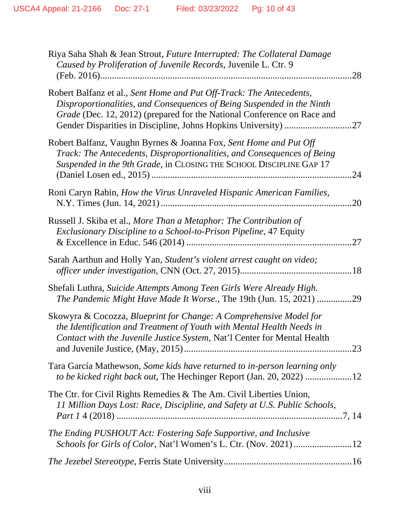| Riya Saha Shah & Jean Strout, Future Interrupted: The Collateral Damage<br>Caused by Proliferation of Juvenile Records, Juvenile L. Ctr. 9<br>28                                                                                 |
|----------------------------------------------------------------------------------------------------------------------------------------------------------------------------------------------------------------------------------|
| Robert Balfanz et al., Sent Home and Put Off-Track: The Antecedents,<br>Disproportionalities, and Consequences of Being Suspended in the Ninth<br>Grade (Dec. 12, 2012) (prepared for the National Conference on Race and<br>.27 |
| Robert Balfanz, Vaughn Byrnes & Joanna Fox, Sent Home and Put Off<br>Track: The Antecedents, Disproportionalities, and Consequences of Being<br>Suspended in the 9th Grade, in CLOSING THE SCHOOL DISCIPLINE GAP 17<br>24        |
| Roni Caryn Rabin, How the Virus Unraveled Hispanic American Families,<br>20                                                                                                                                                      |
| Russell J. Skiba et al., More Than a Metaphor: The Contribution of<br>Exclusionary Discipline to a School-to-Prison Pipeline, 47 Equity<br>27                                                                                    |
| Sarah Aarthun and Holly Yan, Student's violent arrest caught on video;                                                                                                                                                           |
| Shefali Luthra, Suicide Attempts Among Teen Girls Were Already High.<br>The Pandemic Might Have Made It Worse., The 19th (Jun. 15, 2021) 29                                                                                      |
| Skowyra & Cocozza, Blueprint for Change: A Comprehensive Model for<br>the Identification and Treatment of Youth with Mental Health Needs in<br>Contact with the Juvenile Justice System, Nat'l Center for Mental Health<br>23    |
| Tara García Mathewson, Some kids have returned to in-person learning only<br>to be kicked right back out, The Hechinger Report (Jan. 20, 2022) 12                                                                                |
| The Ctr. for Civil Rights Remedies & The Am. Civil Liberties Union,<br>11 Million Days Lost: Race, Discipline, and Safety at U.S. Public Schools,                                                                                |
| The Ending PUSHOUT Act: Fostering Safe Supportive, and Inclusive<br>Schools for Girls of Color, Nat'l Women's L. Ctr. (Nov. 2021) 12                                                                                             |
|                                                                                                                                                                                                                                  |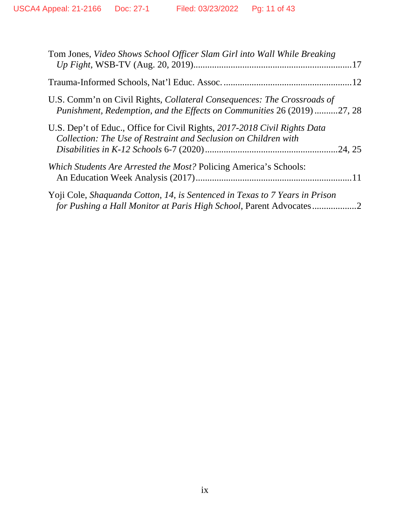| Tom Jones, Video Shows School Officer Slam Girl into Wall While Breaking                                                                                  |  |
|-----------------------------------------------------------------------------------------------------------------------------------------------------------|--|
|                                                                                                                                                           |  |
| U.S. Comm'n on Civil Rights, <i>Collateral Consequences: The Crossroads of</i><br>Punishment, Redemption, and the Effects on Communities 26 (2019) 27, 28 |  |
| U.S. Dep't of Educ., Office for Civil Rights, 2017-2018 Civil Rights Data<br>Collection: The Use of Restraint and Seclusion on Children with              |  |
| <i>Which Students Are Arrested the Most?</i> Policing America's Schools:                                                                                  |  |
| Yoji Cole, Shaquanda Cotton, 14, is Sentenced in Texas to 7 Years in Prison<br>for Pushing a Hall Monitor at Paris High School, Parent Advocates2         |  |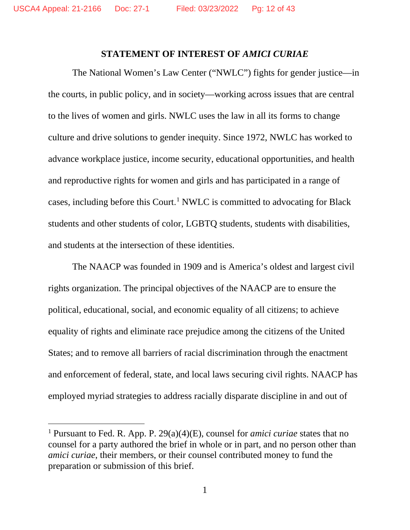#### **STATEMENT OF INTEREST OF** *AMICI CURIAE*

The National Women's Law Center ("NWLC") fights for gender justice—in the courts, in public policy, and in society—working across issues that are central to the lives of women and girls. NWLC uses the law in all its forms to change culture and drive solutions to gender inequity. Since 1972, NWLC has worked to advance workplace justice, income security, educational opportunities, and health and reproductive rights for women and girls and has participated in a range of cases, including before this Court. [1](#page-11-0) NWLC is committed to advocating for Black students and other students of color, LGBTQ students, students with disabilities, and students at the intersection of these identities.

The NAACP was founded in 1909 and is America's oldest and largest civil rights organization. The principal objectives of the NAACP are to ensure the political, educational, social, and economic equality of all citizens; to achieve equality of rights and eliminate race prejudice among the citizens of the United States; and to remove all barriers of racial discrimination through the enactment and enforcement of federal, state, and local laws securing civil rights. NAACP has employed myriad strategies to address racially disparate discipline in and out of

<span id="page-11-0"></span><sup>1</sup> Pursuant to Fed. R. App. P. 29(a)(4)(E), counsel for *amici curiae* states that no counsel for a party authored the brief in whole or in part, and no person other than *amici curiae*, their members, or their counsel contributed money to fund the preparation or submission of this brief.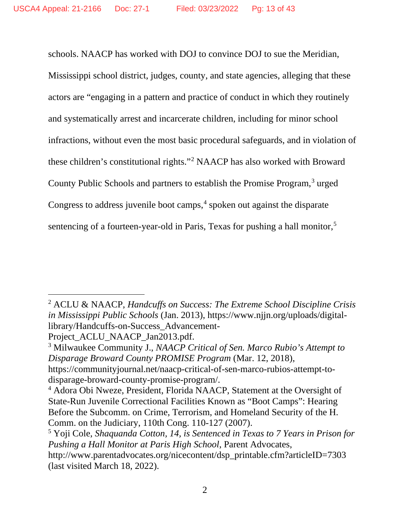schools. NAACP has worked with DOJ to convince DOJ to sue the Meridian, Mississippi school district, judges, county, and state agencies, alleging that these actors are "engaging in a pattern and practice of conduct in which they routinely and systematically arrest and incarcerate children, including for minor school infractions, without even the most basic procedural safeguards, and in violation of these children's constitutional rights."[2](#page-12-0) NAACP has also worked with Broward County Public Schools and partners to establish the Promise Program, [3](#page-12-1) urged Congress to address juvenile boot camps, [4](#page-12-2) spoken out against the disparate sentencing of a fourteen-year-old in Paris, Texas for pushing a hall monitor, [5](#page-12-3)

Project ACLU NAACP Jan2013.pdf.

<span id="page-12-0"></span><sup>2</sup> ACLU & NAACP, *Handcuffs on Success: The Extreme School Discipline Crisis in Mississippi Public Schools* (Jan. 2013), https://www.njjn.org/uploads/digitallibrary/Handcuffs-on-Success\_Advancement-

<span id="page-12-1"></span><sup>3</sup> Milwaukee Community J., *NAACP Critical of Sen. Marco Rubio's Attempt to Disparage Broward County PROMISE Program* (Mar. 12, 2018), [https://communityjournal.net/naacp-critical-of-sen-marco-rubios-attempt-to](https://communityjournal.net/naacp-critical-of-sen-marco-rubios-attempt-to-disparage-broward-county-promise-program/)[disparage-broward-county-promise-program/.](https://communityjournal.net/naacp-critical-of-sen-marco-rubios-attempt-to-disparage-broward-county-promise-program/)

<span id="page-12-2"></span><sup>4</sup> Adora Obi Nweze, President, Florida NAACP, Statement at the Oversight of State-Run Juvenile Correctional Facilities Known as "Boot Camps": Hearing Before the Subcomm. on Crime, Terrorism, and Homeland Security of the H. Comm. on the Judiciary, 110th Cong. 110-127 (2007).

<span id="page-12-3"></span><sup>5</sup> Yoji Cole, *Shaquanda Cotton, 14, is Sentenced in Texas to 7 Years in Prison for Pushing a Hall Monitor at Paris High School*, Parent Advocates,

http://www.parentadvocates.org/nicecontent/dsp\_printable.cfm?articleID=7303 (last visited March 18, 2022).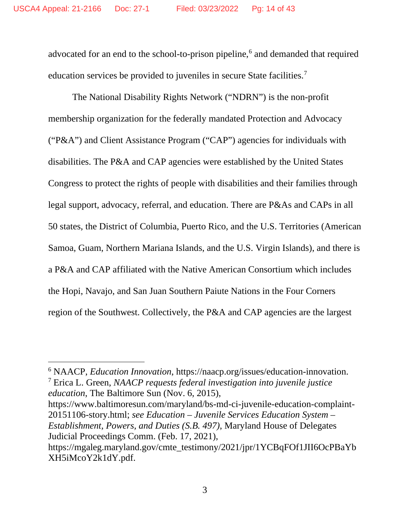advocated for an end to the school-to-prison pipeline, [6](#page-13-0) and demanded that required education services be provided to juveniles in secure State facilities.<sup>[7](#page-13-1)</sup>

The National Disability Rights Network ("NDRN") is the non-profit membership organization for the federally mandated Protection and Advocacy ("P&A") and Client Assistance Program ("CAP") agencies for individuals with disabilities. The P&A and CAP agencies were established by the United States Congress to protect the rights of people with disabilities and their families through legal support, advocacy, referral, and education. There are P&As and CAPs in all 50 states, the District of Columbia, Puerto Rico, and the U.S. Territories (American Samoa, Guam, Northern Mariana Islands, and the U.S. Virgin Islands), and there is a P&A and CAP affiliated with the Native American Consortium which includes the Hopi, Navajo, and San Juan Southern Paiute Nations in the Four Corners region of the Southwest. Collectively, the P&A and CAP agencies are the largest

<span id="page-13-1"></span><span id="page-13-0"></span><sup>6</sup> NAACP, *Education Innovation*, https://naacp.org/issues/education-innovation. <sup>7</sup> Erica L. Green, *NAACP requests federal investigation into juvenile justice education*, The Baltimore Sun (Nov. 6, 2015),

https://www.baltimoresun.com/maryland/bs-md-ci-juvenile-education-complaint-20151106-story.html; *see Education – Juvenile Services Education System – Establishment, Powers, and Duties (S.B. 497)*, Maryland House of Delegates Judicial Proceedings Comm. (Feb. 17, 2021),

https://mgaleg.maryland.gov/cmte\_testimony/2021/jpr/1YCBqFOf1JII6OcPBaYb XH5iMcoY2k1dY.pdf.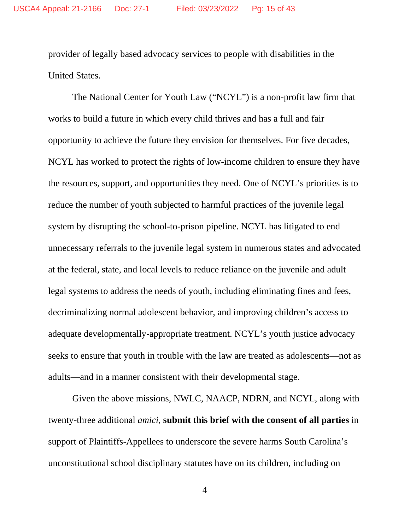provider of legally based advocacy services to people with disabilities in the United States.

The National Center for Youth Law ("NCYL") is a non-profit law firm that works to build a future in which every child thrives and has a full and fair opportunity to achieve the future they envision for themselves. For five decades, NCYL has worked to protect the rights of low-income children to ensure they have the resources, support, and opportunities they need. One of NCYL's priorities is to reduce the number of youth subjected to harmful practices of the juvenile legal system by disrupting the school-to-prison pipeline. NCYL has litigated to end unnecessary referrals to the juvenile legal system in numerous states and advocated at the federal, state, and local levels to reduce reliance on the juvenile and adult legal systems to address the needs of youth, including eliminating fines and fees, decriminalizing normal adolescent behavior, and improving children's access to adequate developmentally-appropriate treatment. NCYL's youth justice advocacy seeks to ensure that youth in trouble with the law are treated as adolescents—not as adults—and in a manner consistent with their developmental stage.

Given the above missions, NWLC, NAACP, NDRN, and NCYL, along with twenty-three additional *amici*, **submit this brief with the consent of all parties** in support of Plaintiffs-Appellees to underscore the severe harms South Carolina's unconstitutional school disciplinary statutes have on its children, including on

4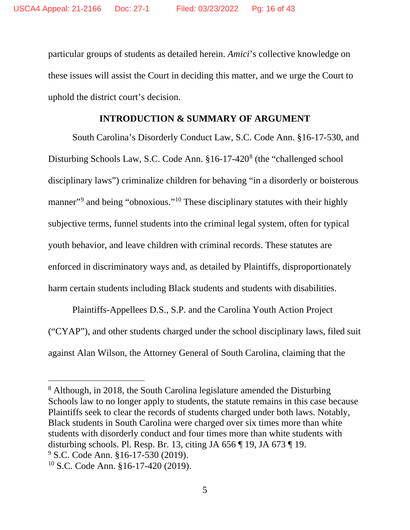particular groups of students as detailed herein. *Amici*'s collective knowledge on these issues will assist the Court in deciding this matter, and we urge the Court to uphold the district court's decision.

#### **INTRODUCTION & SUMMARY OF ARGUMENT**

South Carolina's Disorderly Conduct Law, S.C. Code Ann. §16-17-530, and Disturbing Schools Law, S.C. Code Ann. §16-17-420<sup>[8](#page-15-0)</sup> (the "challenged school disciplinary laws") criminalize children for behaving "in a disorderly or boisterous manner"<sup>[9](#page-15-1)</sup> and being "obnoxious."<sup>[10](#page-15-2)</sup> These disciplinary statutes with their highly subjective terms, funnel students into the criminal legal system, often for typical youth behavior, and leave children with criminal records. These statutes are enforced in discriminatory ways and, as detailed by Plaintiffs, disproportionately harm certain students including Black students and students with disabilities.

Plaintiffs-Appellees D.S., S.P. and the Carolina Youth Action Project ("CYAP"), and other students charged under the school disciplinary laws, filed suit against Alan Wilson, the Attorney General of South Carolina, claiming that the

<span id="page-15-2"></span><span id="page-15-1"></span><span id="page-15-0"></span><sup>8</sup> Although, in 2018, the South Carolina legislature amended the Disturbing Schools law to no longer apply to students, the statute remains in this case because Plaintiffs seek to clear the records of students charged under both laws. Notably, Black students in South Carolina were charged over six times more than white students with disorderly conduct and four times more than white students with disturbing schools. Pl. Resp. Br. 13, citing JA 656 ¶ 19, JA 673 ¶ 19. <sup>9</sup> S.C. Code Ann. §16-17-530 (2019). <sup>10</sup> S.C. Code Ann. §16-17-420 (2019).

<sup>5</sup>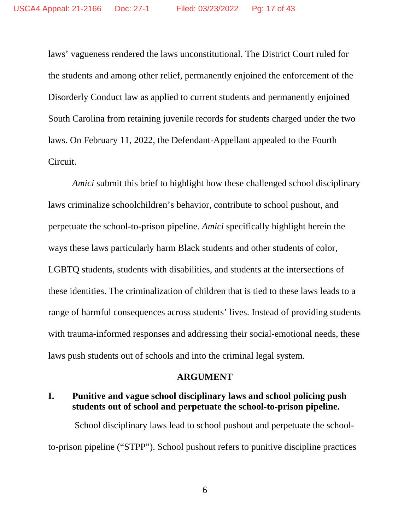laws' vagueness rendered the laws unconstitutional. The District Court ruled for the students and among other relief, permanently enjoined the enforcement of the Disorderly Conduct law as applied to current students and permanently enjoined South Carolina from retaining juvenile records for students charged under the two laws. On February 11, 2022, the Defendant-Appellant appealed to the Fourth Circuit.

*Amici* submit this brief to highlight how these challenged school disciplinary laws criminalize schoolchildren's behavior, contribute to school pushout, and perpetuate the school-to-prison pipeline. *Amici* specifically highlight herein the ways these laws particularly harm Black students and other students of color, LGBTQ students, students with disabilities, and students at the intersections of these identities. The criminalization of children that is tied to these laws leads to a range of harmful consequences across students' lives. Instead of providing students with trauma-informed responses and addressing their social-emotional needs, these laws push students out of schools and into the criminal legal system.

#### **ARGUMENT**

## **I. Punitive and vague school disciplinary laws and school policing push students out of school and perpetuate the school-to-prison pipeline.**

School disciplinary laws lead to school pushout and perpetuate the schoolto-prison pipeline ("STPP"). School pushout refers to punitive discipline practices

6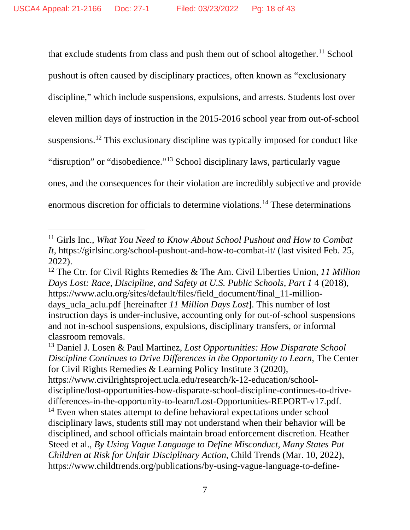<span id="page-17-4"></span>that exclude students from class and push them out of school altogether. [11](#page-17-0) School pushout is often caused by disciplinary practices, often known as "exclusionary discipline," which include suspensions, expulsions, and arrests. Students lost over eleven million days of instruction in the 2015-2016 school year from out-of-school suspensions. [12](#page-17-1) This exclusionary discipline was typically imposed for conduct like "disruption" or "disobedience."<sup>[13](#page-17-2)</sup> School disciplinary laws, particularly vague ones, and the consequences for their violation are incredibly subjective and provide enormous discretion for officials to determine violations. [14](#page-17-3) These determinations

<span id="page-17-0"></span><sup>11</sup> Girls Inc., *What You Need to Know About School Pushout and How to Combat It*, https://girlsinc.org/school-pushout-and-how-to-combat-it/ (last visited Feb. 25, 2022).

<span id="page-17-1"></span><sup>12</sup> The Ctr. for Civil Rights Remedies & The Am. Civil Liberties Union, *11 Million Days Lost: Race, Discipline, and Safety at U.S. Public Schools, Part 1* 4 (2018), https://www.aclu.org/sites/default/files/field\_document/final\_11-milliondays\_ucla\_aclu.pdf [hereinafter *11 Million Days Lost*]. This number of lost instruction days is under-inclusive, accounting only for out-of-school suspensions and not in-school suspensions, expulsions, disciplinary transfers, or informal classroom removals.

<span id="page-17-3"></span><span id="page-17-2"></span><sup>13</sup> Daniel J. Losen & Paul Martinez, *Lost Opportunities: How Disparate School Discipline Continues to Drive Differences in the Opportunity to Learn*, The Center for Civil Rights Remedies & Learning Policy Institute 3 (2020), https://www.civilrightsproject.ucla.edu/research/k-12-education/schooldiscipline/lost-opportunities-how-disparate-school-discipline-continues-to-drivedifferences-in-the-opportunity-to-learn/Lost-Opportunities-REPORT-v17.pdf. <sup>14</sup> Even when states attempt to define behavioral expectations under school disciplinary laws, students still may not understand when their behavior will be disciplined, and school officials maintain broad enforcement discretion. Heather Steed et al., *By Using Vague Language to Define Misconduct, Many States Put Children at Risk for Unfair Disciplinary Action*, Child Trends (Mar. 10, 2022), https://www.childtrends.org/publications/by-using-vague-language-to-define-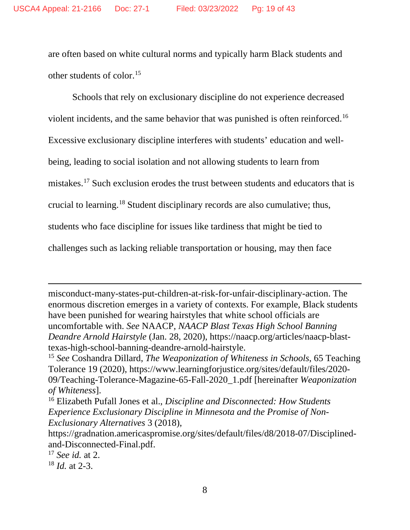<span id="page-18-4"></span>are often based on white cultural norms and typically harm Black students and other students of color. [15](#page-18-0)

Schools that rely on exclusionary discipline do not experience decreased violent incidents, and the same behavior that was punished is often reinforced. [16](#page-18-1) Excessive exclusionary discipline interferes with students' education and wellbeing, leading to social isolation and not allowing students to learn from mistakes. [17](#page-18-2) Such exclusion erodes the trust between students and educators that is crucial to learning. [18](#page-18-3) Student disciplinary records are also cumulative; thus, students who face discipline for issues like tardiness that might be tied to challenges such as lacking reliable transportation or housing, may then face

misconduct-many-states-put-children-at-risk-for-unfair-disciplinary-action. The enormous discretion emerges in a variety of contexts. For example, Black students have been punished for wearing hairstyles that white school officials are uncomfortable with. *See* NAACP, *NAACP Blast Texas High School Banning Deandre Arnold Hairstyle* (Jan. 28, 2020), https://naacp.org/articles/naacp-blasttexas-high-school-banning-deandre-arnold-hairstyle.

<span id="page-18-0"></span><sup>15</sup> *See* Coshandra Dillard, *The Weaponization of Whiteness in Schools*, 65 Teaching Tolerance 19 (2020), https://www.learningforjustice.org/sites/default/files/2020- 09/Teaching-Tolerance-Magazine-65-Fall-2020\_1.pdf [hereinafter *Weaponization of Whiteness*].

<span id="page-18-1"></span><sup>16</sup> Elizabeth Pufall Jones et al., *Discipline and Disconnected: How Students Experience Exclusionary Discipline in Minnesota and the Promise of Non-Exclusionary Alternatives* 3 (2018),

<span id="page-18-3"></span><sup>18</sup> *Id.* at 2-3.

https://gradnation.americaspromise.org/sites/default/files/d8/2018-07/Disciplinedand-Disconnected-Final.pdf.

<span id="page-18-2"></span><sup>17</sup> *See id.* at 2.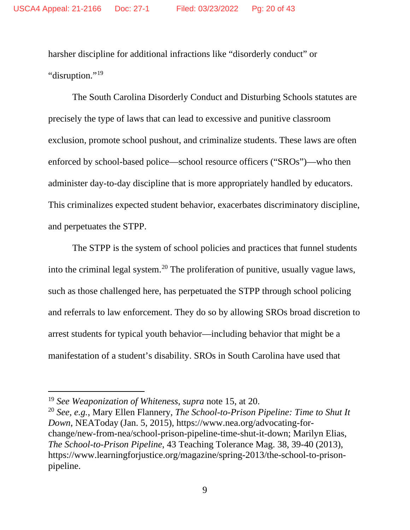harsher discipline for additional infractions like "disorderly conduct" or "disruption."<sup>[19](#page-19-0)</sup>

The South Carolina Disorderly Conduct and Disturbing Schools statutes are precisely the type of laws that can lead to excessive and punitive classroom exclusion, promote school pushout, and criminalize students. These laws are often enforced by school-based police—school resource officers ("SROs")—who then administer day-to-day discipline that is more appropriately handled by educators. This criminalizes expected student behavior, exacerbates discriminatory discipline, and perpetuates the STPP.

The STPP is the system of school policies and practices that funnel students into the criminal legal system.<sup>[20](#page-19-1)</sup> The proliferation of punitive, usually vague laws, such as those challenged here, has perpetuated the STPP through school policing and referrals to law enforcement. They do so by allowing SROs broad discretion to arrest students for typical youth behavior—including behavior that might be a manifestation of a student's disability. SROs in South Carolina have used that

<span id="page-19-0"></span><sup>19</sup> *See Weaponization of Whiteness*, *supra* note [15,](#page-18-4) at 20.

<span id="page-19-1"></span><sup>20</sup> *See, e.g.*, Mary Ellen Flannery, *The School-to-Prison Pipeline: Time to Shut It Down*, NEAToday (Jan. 5, 2015), https://www.nea.org/advocating-forchange/new-from-nea/school-prison-pipeline-time-shut-it-down; Marilyn Elias, *The School-to-Prison Pipeline*, 43 Teaching Tolerance Mag. 38, 39-40 (2013), https://www.learningforjustice.org/magazine/spring-2013/the-school-to-prisonpipeline.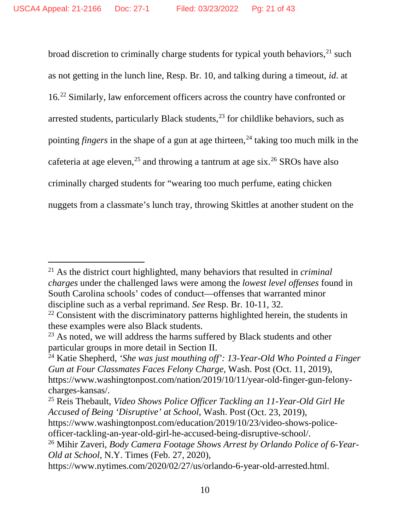broad discretion to criminally charge students for typical youth behaviors,<sup>[21](#page-20-0)</sup> such as not getting in the lunch line, Resp. Br. 10, and talking during a timeout, *id*. at 16.<sup>[22](#page-20-1)</sup> Similarly, law enforcement officers across the country have confronted or arrested students, particularly Black students,  $2<sup>3</sup>$  for childlike behaviors, such as pointing *fingers* in the shape of a gun at age thirteen,<sup>[24](#page-20-3)</sup> taking too much milk in the cafeteria at age eleven,<sup>[25](#page-20-4)</sup> and throwing a tantrum at age six.<sup>[26](#page-20-5)</sup> SROs have also criminally charged students for "wearing too much perfume, eating chicken nuggets from a classmate's lunch tray, throwing Skittles at another student on the

<span id="page-20-0"></span><sup>21</sup> As the district court highlighted, many behaviors that resulted in *criminal charges* under the challenged laws were among the *lowest level offenses* found in South Carolina schools' codes of conduct—offenses that warranted minor discipline such as a verbal reprimand. *See* Resp. Br. 10-11, 32.

<span id="page-20-1"></span> $22$  Consistent with the discriminatory patterns highlighted herein, the students in these examples were also Black students.

<span id="page-20-2"></span> $23$  As noted, we will address the harms suffered by Black students and other particular groups in more detail in Section II.

<span id="page-20-3"></span><sup>24</sup> Katie Shepherd, *'She was just mouthing off': 13-Year-Old Who Pointed a Finger Gun at Four Classmates Faces Felony Charge*, Wash. Post (Oct. 11, 2019), https://www.washingtonpost.com/nation/2019/10/11/year-old-finger-gun-felonycharges-kansas/.

<span id="page-20-4"></span><sup>25</sup> Reis Thebault, *Video Shows Police Officer Tackling an 11-Year-Old Girl He Accused of Being 'Disruptive' at School*, Wash. Post (Oct. 23, 2019),

https://www.washingtonpost.com/education/2019/10/23/video-shows-policeofficer-tackling-an-year-old-girl-he-accused-being-disruptive-school/.

<span id="page-20-5"></span><sup>26</sup> Mihir Zaveri, *Body Camera Footage Shows Arrest by Orlando Police of 6-Year-Old at School*, N.Y. Times (Feb. 27, 2020),

https://www.nytimes.com/2020/02/27/us/orlando-6-year-old-arrested.html.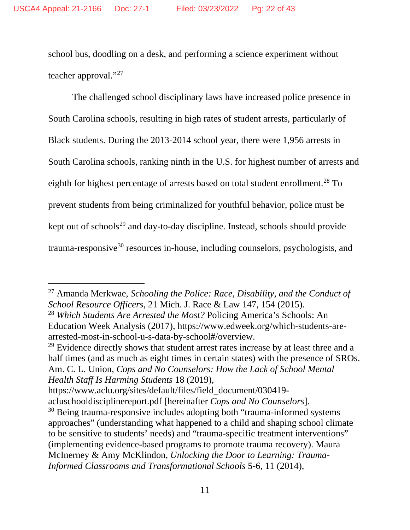school bus, doodling on a desk, and performing a science experiment without teacher approval."[27](#page-21-0)

The challenged school disciplinary laws have increased police presence in South Carolina schools, resulting in high rates of student arrests, particularly of Black students. During the 2013-2014 school year, there were 1,956 arrests in South Carolina schools, ranking ninth in the U.S. for highest number of arrests and eighth for highest percentage of arrests based on total student enrollment.<sup>[28](#page-21-1)</sup> To prevent students from being criminalized for youthful behavior, police must be kept out of schools<sup>[29](#page-21-2)</sup> and day-to-day discipline. Instead, schools should provide  $tramma$ -responsive<sup>[30](#page-21-3)</sup> resources in-house, including counselors, psychologists, and

<span id="page-21-2"></span><sup>29</sup> Evidence directly shows that student arrest rates increase by at least three and a half times (and as much as eight times in certain states) with the presence of SROs. Am. C. L. Union, *Cops and No Counselors: How the Lack of School Mental Health Staff Is Harming Students* 18 (2019),

https://www.aclu.org/sites/default/files/field\_document/030419-

<span id="page-21-4"></span><span id="page-21-0"></span><sup>27</sup> Amanda Merkwae, *Schooling the Police: Race, Disability, and the Conduct of School Resource Officers*, 21 Mich. J. Race & Law 147, 154 (2015).

<span id="page-21-1"></span><sup>28</sup> *Which Students Are Arrested the Most?* Policing America's Schools: An Education Week Analysis (2017), https://www.edweek.org/which-students-arearrested-most-in-school-u-s-data-by-school#/overview.

acluschooldisciplinereport.pdf [hereinafter *Cops and No Counselors*].

<span id="page-21-3"></span><sup>&</sup>lt;sup>30</sup> Being trauma-responsive includes adopting both "trauma-informed systems" approaches" (understanding what happened to a child and shaping school climate to be sensitive to students' needs) and "trauma-specific treatment interventions" (implementing evidence-based programs to promote trauma recovery). Maura McInerney & Amy McKlindon, *Unlocking the Door to Learning: Trauma-Informed Classrooms and Transformational Schools* 5-6, 11 (2014),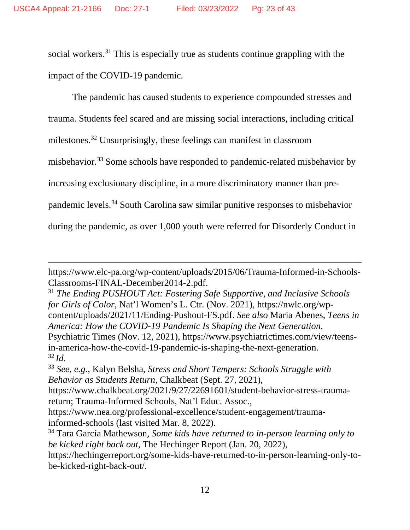social workers.<sup>[31](#page-22-0)</sup> This is especially true as students continue grappling with the impact of the COVID-19 pandemic.

The pandemic has caused students to experience compounded stresses and trauma. Students feel scared and are missing social interactions, including critical milestones. [32](#page-22-1) Unsurprisingly, these feelings can manifest in classroom misbehavior.<sup>[33](#page-22-2)</sup> Some schools have responded to pandemic-related misbehavior by increasing exclusionary discipline, in a more discriminatory manner than prepandemic levels.[34](#page-22-3) South Carolina saw similar punitive responses to misbehavior during the pandemic, as over 1,000 youth were referred for Disorderly Conduct in

https://www.elc-pa.org/wp-content/uploads/2015/06/Trauma-Informed-in-Schools-Classrooms-FINAL-December2014-2.pdf.

<span id="page-22-0"></span><sup>31</sup> *The Ending PUSHOUT Act: Fostering Safe Supportive, and Inclusive Schools for Girls of Color*, Nat'l Women's L. Ctr. (Nov. 2021), https://nwlc.org/wpcontent/uploads/2021/11/Ending-Pushout-FS.pdf. *See also* Maria Abenes, *Teens in America: How the COVID-19 Pandemic Is Shaping the Next Generation*, Psychiatric Times (Nov. 12, 2021), https://www.psychiatrictimes.com/view/teensin-america-how-the-covid-19-pandemic-is-shaping-the-next-generation. <sup>32</sup> *Id.*

<span id="page-22-2"></span><span id="page-22-1"></span><sup>33</sup> *See, e.g.*, Kalyn Belsha, *Stress and Short Tempers: Schools Struggle with Behavior as Students Return*, Chalkbeat (Sept. 27, 2021),

https://www.chalkbeat.org/2021/9/27/22691601/student-behavior-stress-traumareturn; Trauma-Informed Schools, Nat'l Educ. Assoc.,

https://www.nea.org/professional-excellence/student-engagement/traumainformed-schools (last visited Mar. 8, 2022).

<span id="page-22-3"></span><sup>34</sup> Tara García Mathewson, *Some kids have returned to in-person learning only to be kicked right back out*, The Hechinger Report (Jan. 20, 2022),

https://hechingerreport.org/some-kids-have-returned-to-in-person-learning-only-tobe-kicked-right-back-out/.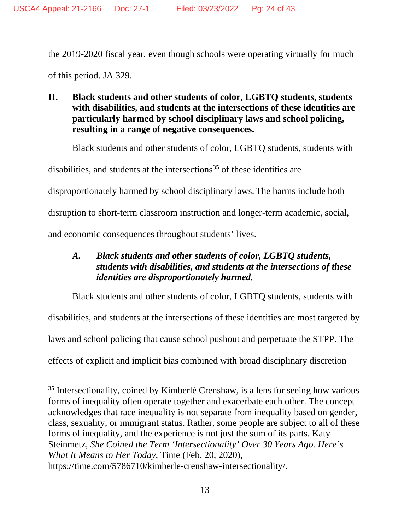the 2019-2020 fiscal year, even though schools were operating virtually for much of this period. JA 329.

**II. Black students and other students of color, LGBTQ students, students with disabilities, and students at the intersections of these identities are particularly harmed by school disciplinary laws and school policing, resulting in a range of negative consequences.**

Black students and other students of color, LGBTQ students, students with

disabilities, and students at the intersections<sup>[35](#page-23-0)</sup> of these identities are

disproportionately harmed by school disciplinary laws. The harms include both

disruption to short-term classroom instruction and longer-term academic, social,

and economic consequences throughout students' lives.

## *A. Black students and other students of color, LGBTQ students, students with disabilities, and students at the intersections of these identities are disproportionately harmed.*

Black students and other students of color, LGBTQ students, students with

disabilities, and students at the intersections of these identities are most targeted by

laws and school policing that cause school pushout and perpetuate the STPP. The

effects of explicit and implicit bias combined with broad disciplinary discretion

<span id="page-23-0"></span><sup>&</sup>lt;sup>35</sup> Intersectionality, coined by Kimberlé Crenshaw, is a lens for seeing how various forms of inequality often operate together and exacerbate each other. The concept acknowledges that race inequality is not separate from inequality based on gender, class, sexuality, or immigrant status. Rather, some people are subject to all of these forms of inequality, and the experience is not just the sum of its parts. Katy Steinmetz, *She Coined the Term 'Intersectionality' Over 30 Years Ago. Here's What It Means to Her Today*, Time (Feb. 20, 2020), https://time.com/5786710/kimberle-crenshaw-intersectionality/.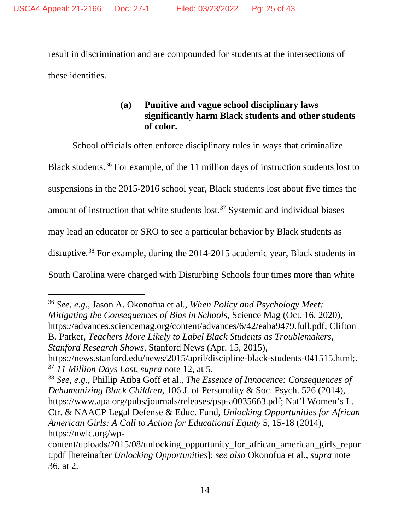result in discrimination and are compounded for students at the intersections of these identities.

## **(a) Punitive and vague school disciplinary laws significantly harm Black students and other students of color.**

<span id="page-24-0"></span>School officials often enforce disciplinary rules in ways that criminalize

Black students.[36](#page-24-1) For example, of the 11 million days of instruction students lost to

suspensions in the 2015-2016 school year, Black students lost about five times the

amount of instruction that white students lost.[37](#page-24-2) Systemic and individual biases

may lead an educator or SRO to see a particular behavior by Black students as

<span id="page-24-4"></span>disruptive.<sup>[38](#page-24-3)</sup> For example, during the 2014-2015 academic year, Black students in

South Carolina were charged with Disturbing Schools four times more than white

*Stanford Research Shows*, Stanford News (Apr. 15, 2015), https://news.stanford.edu/news/2015/april/discipline-black-students-041515.html;.

<span id="page-24-2"></span><sup>37</sup> *11 Million Days Lost*, *supra* note [12,](#page-17-4) at 5.

<span id="page-24-1"></span><sup>36</sup> *See, e.g.*, Jason A. Okonofua et al., *When Policy and Psychology Meet: Mitigating the Consequences of Bias in Schools*, Science Mag (Oct. 16, 2020), https://advances.sciencemag.org/content/advances/6/42/eaba9479.full.pdf; Clifton B. Parker, *Teachers More Likely to Label Black Students as Troublemakers,* 

<span id="page-24-3"></span><sup>38</sup> *See, e.g.*, Phillip Atiba Goff et al., *The Essence of Innocence: Consequences of Dehumanizing Black Children*, 106 J. of Personality & Soc. Psych. 526 (2014), https://www.apa.org/pubs/journals/releases/psp-a0035663.pdf; Nat'l Women's L. Ctr. & NAACP Legal Defense & Educ. Fund, *Unlocking Opportunities for African American Girls: A Call to Action for Educational Equity* 5, 15-18 (2014), https://nwlc.org/wp-

content/uploads/2015/08/unlocking\_opportunity\_for\_african\_american\_girls\_repor t.pdf [hereinafter *Unlocking Opportunities*]; *see also* Okonofua et al., *supra* note [36,](#page-24-0) at 2.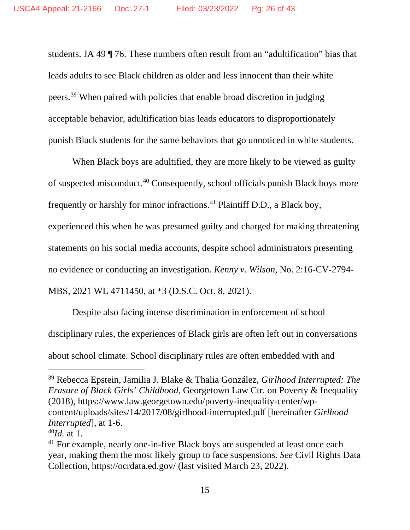<span id="page-25-3"></span>students. JA 49 ¶ 76. These numbers often result from an "adultification" bias that leads adults to see Black children as older and less innocent than their white peers.[39](#page-25-0) When paired with policies that enable broad discretion in judging acceptable behavior, adultification bias leads educators to disproportionately punish Black students for the same behaviors that go unnoticed in white students.

When Black boys are adultified, they are more likely to be viewed as guilty of suspected misconduct.[40](#page-25-1) Consequently, school officials punish Black boys more frequently or harshly for minor infractions.<sup>[41](#page-25-2)</sup> Plaintiff D.D., a Black boy, experienced this when he was presumed guilty and charged for making threatening statements on his social media accounts, despite school administrators presenting no evidence or conducting an investigation. *Kenny v. Wilson*, No. 2:16-CV-2794- MBS, 2021 WL 4711450, at \*3 (D.S.C. Oct. 8, 2021).

Despite also facing intense discrimination in enforcement of school disciplinary rules, the experiences of Black girls are often left out in conversations about school climate. School disciplinary rules are often embedded with and

<span id="page-25-0"></span><sup>39</sup> Rebecca Epstein, Jamilia J. Blake & Thalia González, *Girlhood Interrupted: The Erasure of Black Girls' Childhood*, Georgetown Law Ctr. on Poverty & Inequality (2018), https://www.law.georgetown.edu/poverty-inequality-center/wpcontent/uploads/sites/14/2017/08/girlhood-interrupted.pdf [hereinafter *Girlhood Interrupted*], at 1-6.

<span id="page-25-1"></span><sup>40</sup>*Id.* at 1.

<span id="page-25-2"></span><sup>&</sup>lt;sup>41</sup> For example, nearly one-in-five Black boys are suspended at least once each year, making them the most likely group to face suspensions. *See* Civil Rights Data Collection, https://ocrdata.ed.gov/ (last visited March 23, 2022).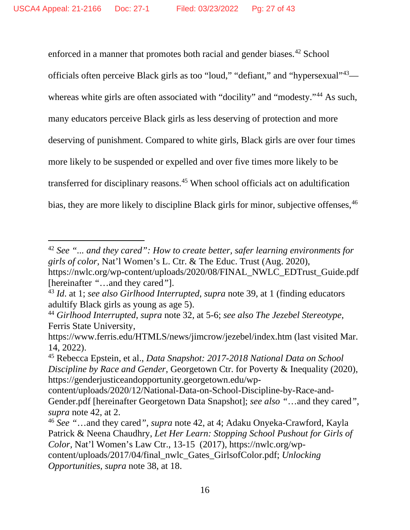<span id="page-26-0"></span>enforced in a manner that promotes both racial and gender biases.<sup>[42](#page-26-1)</sup> School officials often perceive Black girls as too "loud," "defiant," and "hypersexual"[43—](#page-26-2) whereas white girls are often associated with "docility" and "modesty."<sup>[44](#page-26-3)</sup> As such, many educators perceive Black girls as less deserving of protection and more deserving of punishment. Compared to white girls, Black girls are over four times more likely to be suspended or expelled and over five times more likely to be transferred for disciplinary reasons.[45](#page-26-4) When school officials act on adultification bias, they are more likely to discipline Black girls for minor, subjective offenses, <sup>[46](#page-26-5)</sup>

<span id="page-26-6"></span><span id="page-26-1"></span><sup>42</sup> *See "... and they cared": How to create better, safer learning environments for girls of color,* Nat'l Women's L. Ctr. & The Educ. Trust (Aug. 2020), https://nwlc.org/wp-content/uploads/2020/08/FINAL\_NWLC\_EDTrust\_Guide.pdf [hereinafter *"*…and they cared*"*].

<span id="page-26-2"></span><sup>43</sup> *Id*. at 1; *see also Girlhood Interrupted*, *supra* note [39,](#page-25-3) at 1 (finding educators adultify Black girls as young as age 5).

<span id="page-26-3"></span><sup>44</sup> *Girlhood Interrupted*, *supra* note 32, at 5-6; *see also The Jezebel Stereotype*, Ferris State University,

https://www.ferris.edu/HTMLS/news/jimcrow/jezebel/index.htm (last visited Mar. 14, 2022).

<span id="page-26-4"></span><sup>45</sup> Rebecca Epstein, et al., *Data Snapshot: 2017-2018 National Data on School Discipline by Race and Gender*, Georgetown Ctr. for Poverty & Inequality (2020), https://genderjusticeandopportunity.georgetown.edu/wp-

content/uploads/2020/12/National-Data-on-School-Discipline-by-Race-and-Gender.pdf [hereinafter Georgetown Data Snapshot]; *see also "*…and they cared*"*, *supra* note [42,](#page-26-0) at 2.

<span id="page-26-5"></span><sup>46</sup> *See "*…and they cared*"*, *supra* note [42,](#page-26-0) at 4; Adaku Onyeka-Crawford, Kayla Patrick & Neena Chaudhry, *Let Her Learn: Stopping School Pushout for Girls of Color,* Nat'l Women's Law Ctr., 13-15 (2017), https://nwlc.org/wpcontent/uploads/2017/04/final\_nwlc\_Gates\_GirlsofColor.pdf; *Unlocking Opportunities*, *supra* note [38,](#page-24-4) at 18.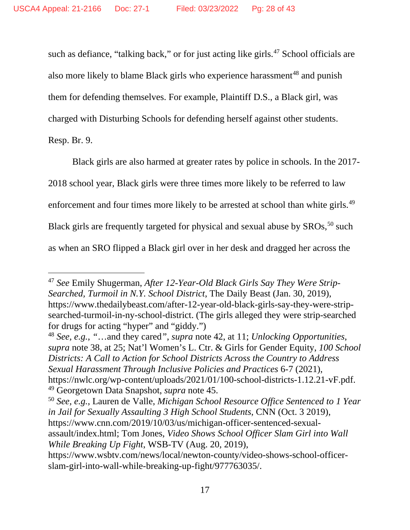such as defiance, "talking back," or for just acting like girls.<sup>[47](#page-27-0)</sup> School officials are also more likely to blame Black girls who experience harassment<sup>[48](#page-27-1)</sup> and punish them for defending themselves. For example, Plaintiff D.S., a Black girl, was charged with Disturbing Schools for defending herself against other students. Resp. Br. 9.

Black girls are also harmed at greater rates by police in schools. In the 2017- 2018 school year, Black girls were three times more likely to be referred to law enforcement and four times more likely to be arrested at school than white girls.<sup>[49](#page-27-2)</sup> Black girls are frequently targeted for physical and sexual abuse by  $SROs$ ,  $50$  such as when an SRO flipped a Black girl over in her desk and dragged her across the

<span id="page-27-1"></span><sup>48</sup> *See, e.g.*, *"*…and they cared*"*, *supra* note [42,](#page-26-0) at 11; *Unlocking Opportunities*, *supra* note [38,](#page-24-4) at 25; Nat'l Women's L. Ctr. & Girls for Gender Equity, *100 School Districts: A Call to Action for School Districts Across the Country to Address Sexual Harassment Through Inclusive Policies and Practices* 6-7 (2021), https://nwlc.org/wp-content/uploads/2021/01/100-school-districts-1.12.21-vF.pdf. <sup>49</sup> Georgetown Data Snapshot, *supra* note [45.](#page-26-6)

<span id="page-27-0"></span><sup>47</sup> *See* Emily Shugerman, *After 12-Year-Old Black Girls Say They Were Strip-Searched, Turmoil in N.Y. School District*, The Daily Beast (Jan. 30, 2019), https://www.thedailybeast.com/after-12-year-old-black-girls-say-they-were-stripsearched-turmoil-in-ny-school-district. (The girls alleged they were strip-searched for drugs for acting "hyper" and "giddy.")

<span id="page-27-3"></span><span id="page-27-2"></span><sup>50</sup> *See, e.g.*, Lauren de Valle, *Michigan School Resource Office Sentenced to 1 Year in Jail for Sexually Assaulting 3 High School Students*, CNN (Oct. 3 2019), https://www.cnn.com/2019/10/03/us/michigan-officer-sentenced-sexualassault/index.html; Tom Jones, *Video Shows School Officer Slam Girl into Wall While Breaking Up Fight*, WSB-TV (Aug. 20, 2019),

https://www.wsbtv.com/news/local/newton-county/video-shows-school-officerslam-girl-into-wall-while-breaking-up-fight/977763035/.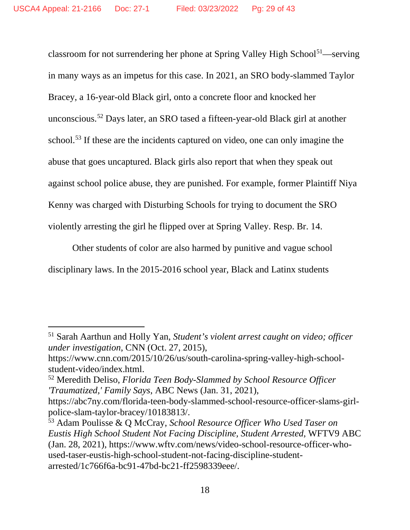classroom for not surrendering her phone at Spring Valley High School<sup>51</sup>—serving in many ways as an impetus for this case. In 2021, an SRO body-slammed Taylor Bracey, a 16-year-old Black girl, onto a concrete floor and knocked her unconscious. [52](#page-28-1) Days later, an SRO tased a fifteen-year-old Black girl at another school.<sup>[53](#page-28-2)</sup> If these are the incidents captured on video, one can only imagine the abuse that goes uncaptured. Black girls also report that when they speak out against school police abuse, they are punished. For example, former Plaintiff Niya Kenny was charged with Disturbing Schools for trying to document the SRO violently arresting the girl he flipped over at Spring Valley. Resp. Br. 14.

Other students of color are also harmed by punitive and vague school disciplinary laws. In the 2015-2016 school year, Black and Latinx students

<span id="page-28-0"></span><sup>51</sup> Sarah Aarthun and Holly Yan, *Student's violent arrest caught on video; officer under investigation*, CNN (Oct. 27, 2015),

https://www.cnn.com/2015/10/26/us/south-carolina-spring-valley-high-schoolstudent-video/index.html.

<span id="page-28-1"></span><sup>52</sup> Meredith Deliso, *Florida Teen Body-Slammed by School Resource Officer 'Traumatized,' Family Says*, ABC News (Jan. 31, 2021),

https://abc7ny.com/florida-teen-body-slammed-school-resource-officer-slams-girlpolice-slam-taylor-bracey/10183813/.

<span id="page-28-2"></span><sup>53</sup> Adam Poulisse & Q McCray, *School Resource Officer Who Used Taser on Eustis High School Student Not Facing Discipline, Student Arrested*, WFTV9 ABC (Jan. 28, 2021), https://www.wftv.com/news/video-school-resource-officer-whoused-taser-eustis-high-school-student-not-facing-discipline-studentarrested/1c766f6a-bc91-47bd-bc21-ff2598339eee/.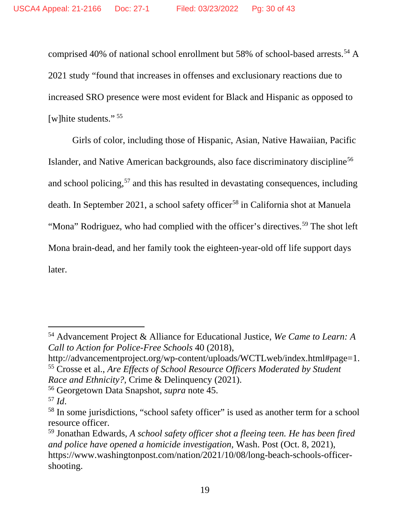comprised 40% of national school enrollment but 58% of school-based arrests.<sup>[54](#page-29-0)</sup> A 2021 study "found that increases in offenses and exclusionary reactions due to increased SRO presence were most evident for Black and Hispanic as opposed to [w]hite students."<sup>[55](#page-29-1)</sup>

Girls of color, including those of Hispanic, Asian, Native Hawaiian, Pacific Islander, and Native American backgrounds, also face discriminatory discipline<sup>[56](#page-29-2)</sup> and school policing, [57](#page-29-3) and this has resulted in devastating consequences, including death. In September 2021, a school safety officer<sup>[58](#page-29-4)</sup> in California shot at Manuela "Mona" Rodriguez, who had complied with the officer's directives.<sup>[59](#page-29-5)</sup> The shot left Mona brain-dead, and her family took the eighteen-year-old off life support days later.

<span id="page-29-0"></span><sup>54</sup> Advancement Project & Alliance for Educational Justice, *We Came to Learn: A Call to Action for Police-Free Schools* 40 (2018),

<span id="page-29-1"></span>http://advancementproject.org/wp-content/uploads/WCTLweb/index.html#page=1. <sup>55</sup> Crosse et al., *Are Effects of School Resource Officers Moderated by Student Race and Ethnicity?*, Crime & Delinquency (2021).

<span id="page-29-2"></span><sup>56</sup> Georgetown Data Snapshot, *supra* note [45.](#page-26-6)

<span id="page-29-3"></span><sup>57</sup> *Id*.

<span id="page-29-4"></span><sup>&</sup>lt;sup>58</sup> In some jurisdictions, "school safety officer" is used as another term for a school resource officer.

<span id="page-29-5"></span><sup>59</sup> Jonathan Edwards, *A school safety officer shot a fleeing teen. He has been fired and police have opened a homicide investigation,* Wash. Post (Oct. 8, 2021), https://www.washingtonpost.com/nation/2021/10/08/long-beach-schools-officershooting.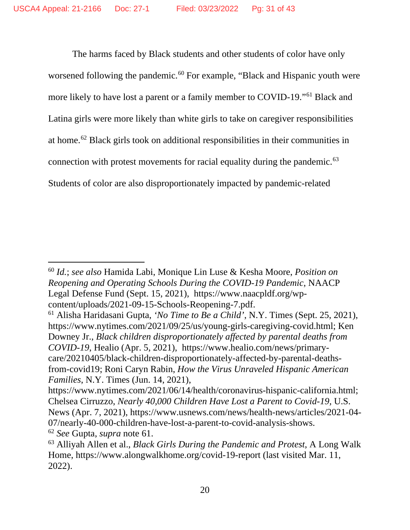<span id="page-30-0"></span>The harms faced by Black students and other students of color have only worsened following the pandemic.<sup>[60](#page-30-1)</sup> For example, "Black and Hispanic youth were more likely to have lost a parent or a family member to COVID-19."[61](#page-30-2) Black and Latina girls were more likely than white girls to take on caregiver responsibilities at home.[62](#page-30-3) Black girls took on additional responsibilities in their communities in connection with protest movements for racial equality during the pandemic.<sup>[63](#page-30-4)</sup> Students of color are also disproportionately impacted by pandemic-related

<span id="page-30-1"></span><sup>60</sup> *Id.*; *see also* Hamida Labi, Monique Lin Luse & Kesha Moore, *Position on Reopening and Operating Schools During the COVID-19 Pandemic*, NAACP Legal Defense Fund (Sept. 15, 2021), https://www.naacpldf.org/wpcontent/uploads/2021-09-15-Schools-Reopening-7.pdf.

<span id="page-30-2"></span><sup>61</sup> Alisha Haridasani Gupta, *'No Time to Be a Child'*, N.Y. Times (Sept. 25, 2021), https://www.nytimes.com/2021/09/25/us/young-girls-caregiving-covid.html; Ken Downey Jr., *Black children disproportionately affected by parental deaths from COVID-19*, Healio (Apr. 5, 2021), https://www.healio.com/news/primarycare/20210405/black-children-disproportionately-affected-by-parental-deathsfrom-covid19; Roni Caryn Rabin, *How the Virus Unraveled Hispanic American Families*, N.Y. Times (Jun. 14, 2021),

https://www.nytimes.com/2021/06/14/health/coronavirus-hispanic-california.html; Chelsea Cirruzzo, *Nearly 40,000 Children Have Lost a Parent to Covid-19,* U.S. News (Apr. 7, 2021), https://www.usnews.com/news/health-news/articles/2021-04- 07/nearly-40-000-children-have-lost-a-parent-to-covid-analysis-shows.

<span id="page-30-4"></span><span id="page-30-3"></span><sup>62</sup> *See* Gupta, *supra* note [61.](#page-30-0) 63 Alliyah Allen et al., *Black Girls During the Pandemic and Protest*, A Long Walk Home, https://www.alongwalkhome.org/covid-19-report (last visited Mar. 11, 2022).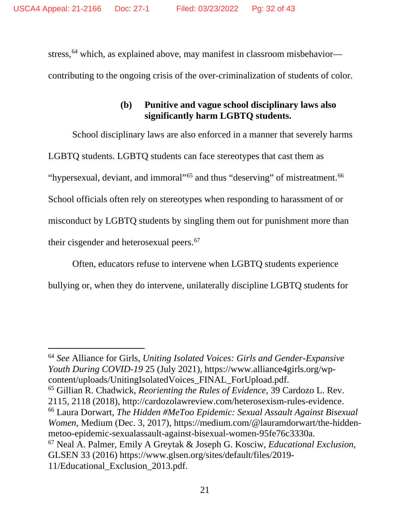stress,<sup>[64](#page-31-0)</sup> which, as explained above, may manifest in classroom misbehavior contributing to the ongoing crisis of the over-criminalization of students of color.

## **(b) Punitive and vague school disciplinary laws also significantly harm LGBTQ students.**

School disciplinary laws are also enforced in a manner that severely harms LGBTQ students. LGBTQ students can face stereotypes that cast them as "hypersexual, deviant, and immoral"<sup>[65](#page-31-1)</sup> and thus "deserving" of mistreatment.<sup>[66](#page-31-2)</sup> School officials often rely on stereotypes when responding to harassment of or misconduct by LGBTQ students by singling them out for punishment more than their cisgender and heterosexual peers.<sup>[67](#page-31-3)</sup>

<span id="page-31-4"></span>Often, educators refuse to intervene when LGBTQ students experience bullying or, when they do intervene, unilaterally discipline LGBTQ students for

<span id="page-31-3"></span><span id="page-31-2"></span><span id="page-31-1"></span><span id="page-31-0"></span><sup>64</sup> *See* Alliance for Girls, *Uniting Isolated Voices: Girls and Gender-Expansive Youth During COVID-19* 25 (July 2021), https://www.alliance4girls.org/wpcontent/uploads/UnitingIsolatedVoices\_FINAL\_ForUpload.pdf. <sup>65</sup> Gillian R. Chadwick, *Reorienting the Rules of Evidence*, 39 Cardozo L. Rev. 2115, 2118 (2018), http://cardozolawreview.com/heterosexism-rules-evidence. <sup>66</sup> Laura Dorwart, *The Hidden #MeToo Epidemic: Sexual Assault Against Bisexual Women*, Medium (Dec. 3, 2017), https://medium.com/@lauramdorwart/the-hiddenmetoo-epidemic-sexualassault-against-bisexual-women-95fe76c3330a. <sup>67</sup> Neal A. Palmer, Emily A Greytak & Joseph G. Kosciw, *Educational Exclusion*, GLSEN 33 (2016) https://www.glsen.org/sites/default/files/2019- 11/Educational\_Exclusion\_2013.pdf.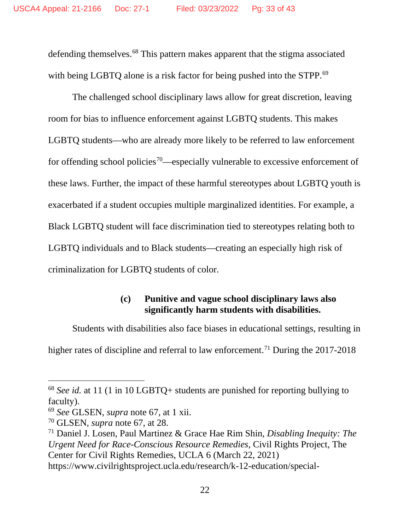defending themselves. [68](#page-32-0) This pattern makes apparent that the stigma associated with being LGBTQ alone is a risk factor for being pushed into the STPP.<sup>[69](#page-32-1)</sup>

The challenged school disciplinary laws allow for great discretion, leaving room for bias to influence enforcement against LGBTQ students. This makes LGBTQ students—who are already more likely to be referred to law enforcement for offending school policies<sup>70</sup>—especially vulnerable to excessive enforcement of these laws. Further, the impact of these harmful stereotypes about LGBTQ youth is exacerbated if a student occupies multiple marginalized identities. For example, a Black LGBTQ student will face discrimination tied to stereotypes relating both to LGBTQ individuals and to Black students—creating an especially high risk of criminalization for LGBTQ students of color.

## <span id="page-32-4"></span>**(c) Punitive and vague school disciplinary laws also significantly harm students with disabilities.**

Students with disabilities also face biases in educational settings, resulting in

higher rates of discipline and referral to law enforcement.<sup>[71](#page-32-3)</sup> During the 2017-2018

<span id="page-32-0"></span><sup>68</sup> *See id.* at 11 (1 in 10 LGBTQ+ students are punished for reporting bullying to faculty).

<span id="page-32-1"></span><sup>69</sup> *See* GLSEN, *supra* note [67,](#page-31-4) at 1 xii.

<span id="page-32-2"></span><sup>70</sup> GLSEN, *supra* note [67,](#page-31-4) at 28.

<span id="page-32-3"></span><sup>71</sup> Daniel J. Losen, Paul Martinez & Grace Hae Rim Shin, *Disabling Inequity: The Urgent Need for Race-Conscious Resource Remedies*, Civil Rights Project, The Center for Civil Rights Remedies, UCLA 6 (March 22, 2021) https://www.civilrightsproject.ucla.edu/research/k-12-education/special-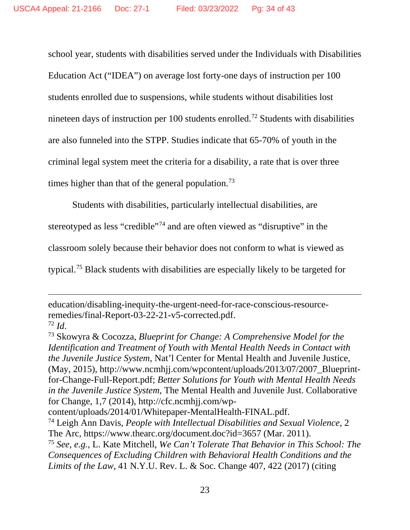school year, students with disabilities served under the Individuals with Disabilities Education Act ("IDEA") on average lost forty-one days of instruction per 100 students enrolled due to suspensions, while students without disabilities lost nineteen days of instruction per 100 students enrolled.<sup>[72](#page-33-0)</sup> Students with disabilities are also funneled into the STPP. Studies indicate that 65-70% of youth in the criminal legal system meet the criteria for a disability, a rate that is over three times higher than that of the general population.<sup>[73](#page-33-1)</sup>

Students with disabilities, particularly intellectual disabilities, are

stereotyped as less "credible"[74](#page-33-2) and are often viewed as "disruptive" in the

classroom solely because their behavior does not conform to what is viewed as

typical.[75](#page-33-3) Black students with disabilities are especially likely to be targeted for

education/disabling-inequity-the-urgent-need-for-race-conscious-resourceremedies/final-Report-03-22-21-v5-corrected.pdf.

<span id="page-33-1"></span>

<span id="page-33-0"></span><sup>72</sup> *Id*. 73 Skowyra & Cocozza, *Blueprint for Change: A Comprehensive Model for the Identification and Treatment of Youth with Mental Health Needs in Contact with the Juvenile Justice System*, Nat'l Center for Mental Health and Juvenile Justice, (May, 2015), http://www.ncmhjj.com/wpcontent/uploads/2013/07/2007\_Blueprintfor-Change-Full-Report.pdf; *Better Solutions for Youth with Mental Health Needs in the Juvenile Justice System*, The Mental Health and Juvenile Just. Collaborative for Change, 1,7 (2014), http://cfc.ncmhjj.com/wp-

content/uploads/2014/01/Whitepaper-MentalHealth-FINAL.pdf.

<span id="page-33-2"></span><sup>74</sup> Leigh Ann Davis, *People with Intellectual Disabilities and Sexual Violence*, 2 The Arc, https://www.thearc.org/document.doc?id=3657 (Mar. 2011).

<span id="page-33-3"></span><sup>75</sup> *See, e.g.*, L. Kate Mitchell, *We Can't Tolerate That Behavior in This School: The Consequences of Excluding Children with Behavioral Health Conditions and the Limits of the Law*, 41 N.Y.U. Rev. L. & Soc. Change 407, 422 (2017) (citing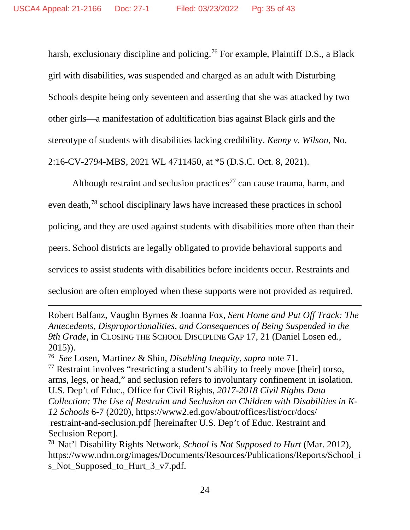harsh, exclusionary discipline and policing.<sup>[76](#page-34-0)</sup> For example, Plaintiff D.S., a Black girl with disabilities, was suspended and charged as an adult with Disturbing Schools despite being only seventeen and asserting that she was attacked by two other girls—a manifestation of adultification bias against Black girls and the stereotype of students with disabilities lacking credibility. *Kenny v. Wilson*, No. 2:16-CV-2794-MBS, 2021 WL 4711450, at \*5 (D.S.C. Oct. 8, 2021).

<span id="page-34-3"></span>Although restraint and seclusion practices<sup>[77](#page-34-1)</sup> can cause trauma, harm, and even death,[78](#page-34-2) school disciplinary laws have increased these practices in school policing, and they are used against students with disabilities more often than their peers. School districts are legally obligated to provide behavioral supports and services to assist students with disabilities before incidents occur. Restraints and seclusion are often employed when these supports were not provided as required.

Robert Balfanz, Vaughn Byrnes & Joanna Fox, *Sent Home and Put Off Track: The Antecedents, Disproportionalities, and Consequences of Being Suspended in the 9th Grade*, in CLOSING THE SCHOOL DISCIPLINE GAP 17, 21 (Daniel Losen ed., 2015)).

<span id="page-34-0"></span>76 *See* Losen, Martinez & Shin*, Disabling Inequity, supra* note [71.](#page-32-4)

<span id="page-34-1"></span><sup>77</sup> Restraint involves "restricting a student's ability to freely move [their] torso, arms, legs, or head," and seclusion refers to involuntary confinement in isolation. U.S. Dep't of Educ., Office for Civil Rights, *2017-2018 Civil Rights Data Collection: The Use of Restraint and Seclusion on Children with Disabilities in K-12 Schools* 6-7 (2020), https://www2.ed.gov/about/offices/list/ocr/docs/ restraint-and-seclusion.pdf [hereinafter U.S. Dep't of Educ. Restraint and Seclusion Report].

<span id="page-34-2"></span><sup>78</sup> Nat'l Disability Rights Network, *School is Not Supposed to Hurt* (Mar. 2012), https://www.ndrn.org/images/Documents/Resources/Publications/Reports/School\_i s\_Not\_Supposed\_to\_Hurt\_3\_v7.pdf.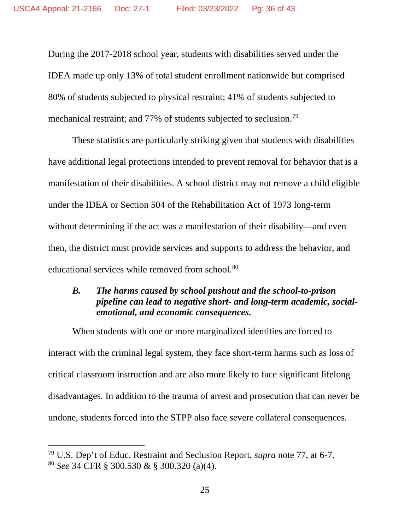During the 2017-2018 school year, students with disabilities served under the IDEA made up only 13% of total student enrollment nationwide but comprised 80% of students subjected to physical restraint; 41% of students subjected to mechanical restraint; and 77% of students subjected to seclusion.<sup>[79](#page-35-0)</sup>

These statistics are particularly striking given that students with disabilities have additional legal protections intended to prevent removal for behavior that is a manifestation of their disabilities. A school district may not remove a child eligible under the IDEA or Section 504 of the Rehabilitation Act of 1973 long-term without determining if the act was a manifestation of their disability—and even then, the district must provide services and supports to address the behavior, and educational services while removed from school.<sup>[80](#page-35-1)</sup>

## *B. The harms caused by school pushout and the school-to-prison pipeline can lead to negative short- and long-term academic, socialemotional, and economic consequences.*

When students with one or more marginalized identities are forced to interact with the criminal legal system, they face short-term harms such as loss of critical classroom instruction and are also more likely to face significant lifelong disadvantages. In addition to the trauma of arrest and prosecution that can never be undone, students forced into the STPP also face severe collateral consequences.

<span id="page-35-1"></span><span id="page-35-0"></span><sup>79</sup> U.S. Dep't of Educ. Restraint and Seclusion Report, *supra* note [77,](#page-34-3) at 6-7. <sup>80</sup> *See* 34 CFR § 300.530 & § 300.320 (a)(4).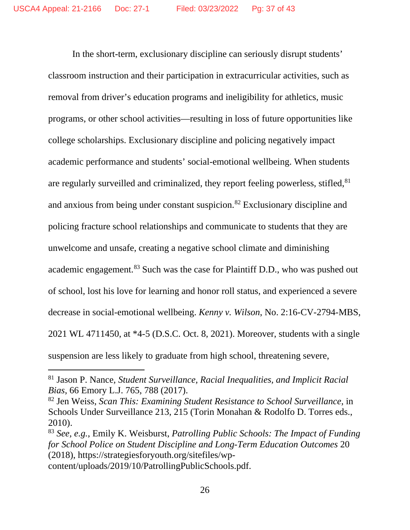In the short-term, exclusionary discipline can seriously disrupt students' classroom instruction and their participation in extracurricular activities, such as removal from driver's education programs and ineligibility for athletics, music programs, or other school activities—resulting in loss of future opportunities like college scholarships. Exclusionary discipline and policing negatively impact academic performance and students' social-emotional wellbeing. When students are regularly surveilled and criminalized, they report feeling powerless, stifled, <sup>[81](#page-36-0)</sup> and anxious from being under constant suspicion.[82](#page-36-1) Exclusionary discipline and policing fracture school relationships and communicate to students that they are unwelcome and unsafe, creating a negative school climate and diminishing academic engagement.<sup>[83](#page-36-2)</sup> Such was the case for Plaintiff D.D., who was pushed out of school, lost his love for learning and honor roll status, and experienced a severe decrease in social-emotional wellbeing. *Kenny v. Wilson*, No. 2:16-CV-2794-MBS, 2021 WL 4711450, at \*4-5 (D.S.C. Oct. 8, 2021). Moreover, students with a single suspension are less likely to graduate from high school, threatening severe,

<span id="page-36-0"></span><sup>81</sup> Jason P. Nance*, Student Surveillance, Racial Inequalities, and Implicit Racial Bias*, 66 Emory L.J. 765, 788 (2017).

<span id="page-36-1"></span><sup>82</sup> Jen Weiss, *Scan This: Examining Student Resistance to School Surveillance*, in Schools Under Surveillance 213, 215 (Torin Monahan & Rodolfo D. Torres eds., 2010).

<span id="page-36-2"></span><sup>83</sup> *See, e.g.*, Emily K. Weisburst, *Patrolling Public Schools: The Impact of Funding for School Police on Student Discipline and Long-Term Education Outcomes* 20 (2018), https://strategiesforyouth.org/sitefiles/wpcontent/uploads/2019/10/PatrollingPublicSchools.pdf.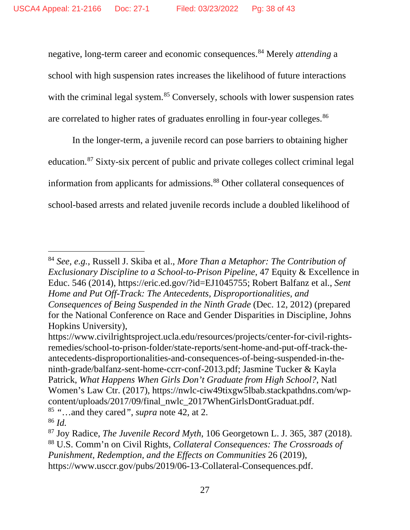negative, long-term career and economic consequences.[84](#page-37-0) Merely *attending* a school with high suspension rates increases the likelihood of future interactions with the criminal legal system.<sup>[85](#page-37-1)</sup> Conversely, schools with lower suspension rates are correlated to higher rates of graduates enrolling in four-year colleges.<sup>[86](#page-37-2)</sup>

<span id="page-37-5"></span>In the longer-term, a juvenile record can pose barriers to obtaining higher education.[87](#page-37-3) Sixty-six percent of public and private colleges collect criminal legal information from applicants for admissions. [88](#page-37-4) Other collateral consequences of school-based arrests and related juvenile records include a doubled likelihood of

<span id="page-37-0"></span><sup>84</sup> *See, e.g.*, Russell J. Skiba et al., *More Than a Metaphor: The Contribution of Exclusionary Discipline to a School-to-Prison Pipeline*, 47 Equity & Excellence in Educ. 546 (2014), https://eric.ed.gov/?id=EJ1045755; Robert Balfanz et al., *Sent Home and Put Off-Track: The Antecedents, Disproportionalities, and Consequences of Being Suspended in the Ninth Grade* (Dec. 12, 2012) (prepared for the National Conference on Race and Gender Disparities in Discipline, Johns Hopkins University),

https://www.civilrightsproject.ucla.edu/resources/projects/center-for-civil-rightsremedies/school-to-prison-folder/state-reports/sent-home-and-put-off-track-theantecedents-disproportionalities-and-consequences-of-being-suspended-in-theninth-grade/balfanz-sent-home-ccrr-conf-2013.pdf; Jasmine Tucker & Kayla Patrick, *What Happens When Girls Don't Graduate from High School?*, Natl Women's Law Ctr. (2017), https://nwlc-ciw49tixgw5lbab.stackpathdns.com/wpcontent/uploads/2017/09/final\_nwlc\_2017WhenGirlsDontGraduat.pdf. <sup>85</sup> *"*…and they cared*"*, *supra* note [42,](#page-26-0) at 2.

<span id="page-37-2"></span><span id="page-37-1"></span><sup>86</sup> *Id.*

<span id="page-37-4"></span><span id="page-37-3"></span><sup>87</sup> Joy Radice, *The Juvenile Record Myth*, 106 Georgetown L. J. 365, 387 (2018). <sup>88</sup> U.S. Comm'n on Civil Rights, *Collateral Consequences: The Crossroads of Punishment, Redemption, and the Effects on Communities* 26 (2019), https://www.usccr.gov/pubs/2019/06-13-Collateral-Consequences.pdf.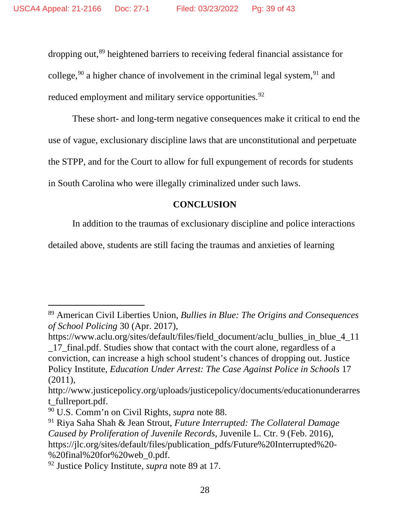<span id="page-38-0"></span>dropping out, [89](#page-38-1) heightened barriers to receiving federal financial assistance for college,<sup>[90](#page-38-2)</sup> a higher chance of involvement in the criminal legal system,<sup>[91](#page-38-3)</sup> and reduced employment and military service opportunities.<sup>[92](#page-38-4)</sup>

These short- and long-term negative consequences make it critical to end the use of vague, exclusionary discipline laws that are unconstitutional and perpetuate the STPP, and for the Court to allow for full expungement of records for students in South Carolina who were illegally criminalized under such laws.

## **CONCLUSION**

In addition to the traumas of exclusionary discipline and police interactions

detailed above, students are still facing the traumas and anxieties of learning

https://www.aclu.org/sites/default/files/field\_document/aclu\_bullies\_in\_blue\_4\_11 \_17\_final.pdf. Studies show that contact with the court alone, regardless of a conviction, can increase a high school student's chances of dropping out. Justice Policy Institute, *Education Under Arrest: The Case Against Police in Schools* 17 (2011),

http://www.justicepolicy.org/uploads/justicepolicy/documents/educationunderarres t\_fullreport.pdf.<br><sup>90</sup> U.S. Comm'n on Civil Rights, *supra* note 88.

<span id="page-38-1"></span><sup>89</sup> American Civil Liberties Union, *Bullies in Blue: The Origins and Consequences of School Policing* 30 (Apr. 2017),

<span id="page-38-2"></span>

<span id="page-38-3"></span><sup>&</sup>lt;sup>91</sup> Riya Saha Shah & Jean Strout, *Future Interrupted: The Collateral Damage Caused by Proliferation of Juvenile Records*, Juvenile L. Ctr. 9 (Feb. 2016), https://jlc.org/sites/default/files/publication\_pdfs/Future%20Interrupted%20- %20final%20for%20web\_0.pdf. 92 Justice Policy Institute, *supra* note [89](#page-38-0) at 17.

<span id="page-38-4"></span>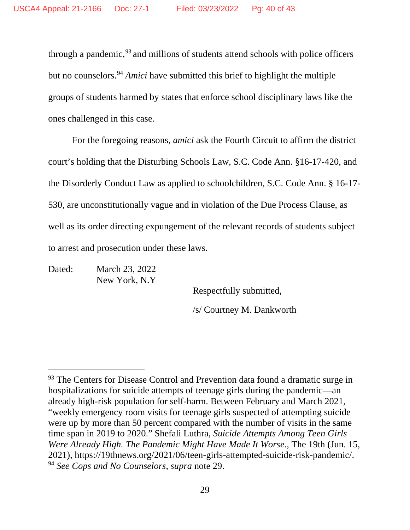through a pandemic, [93](#page-39-0) and millions of students attend schools with police officers but no counselors.[94](#page-39-1) *Amici* have submitted this brief to highlight the multiple groups of students harmed by states that enforce school disciplinary laws like the ones challenged in this case.

For the foregoing reasons, *amici* ask the Fourth Circuit to affirm the district court's holding that the Disturbing Schools Law, S.C. Code Ann. §16-17-420, and the Disorderly Conduct Law as applied to schoolchildren, S.C. Code Ann. § 16-17- 530, are unconstitutionally vague and in violation of the Due Process Clause, as well as its order directing expungement of the relevant records of students subject to arrest and prosecution under these laws.

Dated: March 23, 2022 New York, N.Y

Respectfully submitted,

/s/ Courtney M. Dankworth

<span id="page-39-1"></span><span id="page-39-0"></span><sup>&</sup>lt;sup>93</sup> The Centers for Disease Control and Prevention data found a dramatic surge in hospitalizations for suicide attempts of teenage girls during the pandemic—an already high-risk population for self-harm. Between February and March 2021, "weekly emergency room visits for teenage girls suspected of attempting suicide were up by more than 50 percent compared with the number of visits in the same time span in 2019 to 2020." Shefali Luthra, *Suicide Attempts Among Teen Girls Were Already High. The Pandemic Might Have Made It Worse.*, The 19th (Jun. 15, 2021), https://19thnews.org/2021/06/teen-girls-attempted-suicide-risk-pandemic/. <sup>94</sup> *See Cops and No Counselors*, *supra* note [29.](#page-21-4)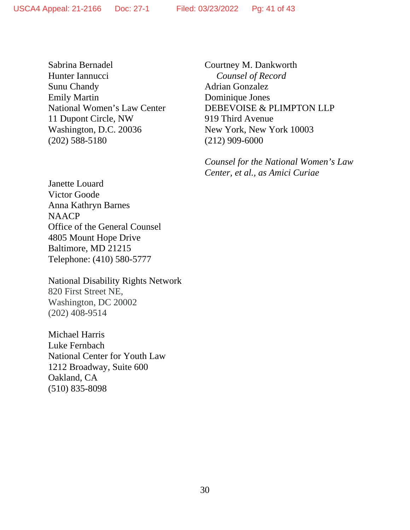Sabrina Bernadel Hunter Iannucci Sunu Chandy Emily Martin National Women's Law Center 11 Dupont Circle, NW Washington, D.C. 20036 (202) 588-5180

Janette Louard Victor Goode Anna Kathryn Barnes NAACP Office of the General Counsel 4805 Mount Hope Drive Baltimore, MD 21215 Telephone: (410) 580-5777

National Disability Rights Network 820 First Street NE, Washington, DC 20002 (202) 408-9514

Michael Harris Luke Fernbach National Center for Youth Law 1212 Broadway, Suite 600 Oakland, CA (510) 835-8098

Courtney M. Dankworth *Counsel of Record* Adrian Gonzalez Dominique Jones DEBEVOISE & PLIMPTON LLP 919 Third Avenue New York, New York 10003 (212) 909-6000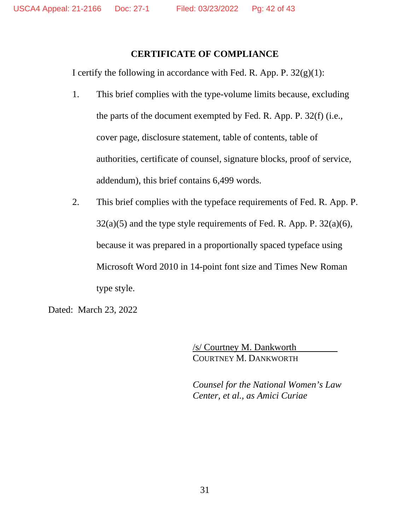### **CERTIFICATE OF COMPLIANCE**

I certify the following in accordance with Fed. R. App. P.  $32(g)(1)$ :

- 1. This brief complies with the type-volume limits because, excluding the parts of the document exempted by Fed. R. App. P. 32(f) (i.e., cover page, disclosure statement, table of contents, table of authorities, certificate of counsel, signature blocks, proof of service, addendum), this brief contains 6,499 words.
- 2. This brief complies with the typeface requirements of Fed. R. App. P.  $32(a)(5)$  and the type style requirements of Fed. R. App. P.  $32(a)(6)$ , because it was prepared in a proportionally spaced typeface using Microsoft Word 2010 in 14-point font size and Times New Roman type style.

Dated: March 23, 2022

/s/ Courtney M. Dankworth COURTNEY M. DANKWORTH